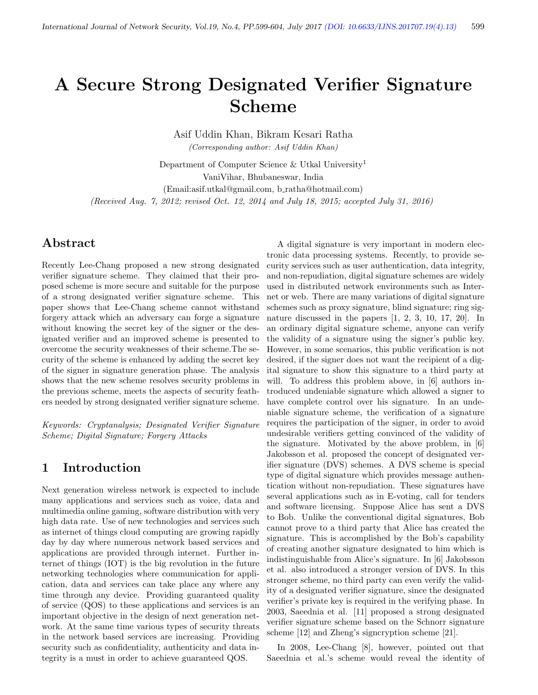# A Secure Strong Designated Verifier Signature Scheme

Asif Uddin Khan, Bikram Kesari Ratha

(Corresponding author: Asif Uddin Khan)

Department of Computer Science & Utkal University<sup>1</sup> VaniVihar, Bhubaneswar, India (Email:asif.utkal@gmail.com, b ratha@hotmail.com) (Received Aug. 7, 2012; revised Oct. 12, 2014 and July 18, 2015; accepted July 31, 2016)

# Abstract

Recently Lee-Chang proposed a new strong designated verifier signature scheme. They claimed that their proposed scheme is more secure and suitable for the purpose of a strong designated verifier signature scheme. This paper shows that Lee-Chang scheme cannot withstand forgery attack which an adversary can forge a signature without knowing the secret key of the signer or the designated verifier and an improved scheme is presented to overcome the security weaknesses of their scheme.The security of the scheme is enhanced by adding the secret key of the signer in signature generation phase. The analysis shows that the new scheme resolves security problems in the previous scheme, meets the aspects of security feathers needed by strong designated verifier signature scheme.

Keywords: Cryptanalysis; Designated Verifier Signature Scheme; Digital Signature; Forgery Attacks

# 1 Introduction

Next generation wireless network is expected to include many applications and services such as voice, data and multimedia online gaming, software distribution with very high data rate. Use of new technologies and services such as internet of things cloud computing are growing rapidly day by day where numerous network based services and applications are provided through internet. Further internet of things (IOT) is the big revolution in the future networking technologies where communication for application, data and services can take place any where any time through any device. Providing guaranteed quality of service (QOS) to these applications and services is an important objective in the design of next generation network. At the same time various types of security threats in the network based services are increasing. Providing security such as confidentiality, authenticity and data integrity is a must in order to achieve guaranteed QOS.

A digital signature is very important in modern electronic data processing systems. Recently, to provide security services such as user authentication, data integrity, and non-repudiation, digital signature schemes are widely used in distributed network environments such as Internet or web. There are many variations of digital signature schemes such as proxy signature, blind signature; ring signature discussed in the papers [1, 2, 3, 10, 17, 20]. In an ordinary digital signature scheme, anyone can verify the validity of a signature using the signer's public key. However, in some scenarios, this public verification is not desired, if the signer does not want the recipient of a digital signature to show this signature to a third party at will. To address this problem above, in [6] authors introduced undeniable signature which allowed a signer to have complete control over his signature. In an undeniable signature scheme, the verification of a signature requires the participation of the signer, in order to avoid undesirable verifiers getting convinced of the validity of the signature. Motivated by the above problem, in [6] Jakobsson et al. proposed the concept of designated verifier signature (DVS) schemes. A DVS scheme is special type of digital signature which provides message authentication without non-repudiation. These signatures have several applications such as in E-voting, call for tenders and software licensing. Suppose Alice has sent a DVS to Bob. Unlike the conventional digital signatures, Bob cannot prove to a third party that Alice has created the signature. This is accomplished by the Bob's capability of creating another signature designated to him which is indistinguishable from Alice's signature. In [6] Jakobsson et al. also introduced a stronger version of DVS. In this stronger scheme, no third party can even verify the validity of a designated verifier signature, since the designated verifier's private key is required in the verifying phase. In 2003, Saeednia et al. [11] proposed a strong designated verifier signature scheme based on the Schnorr signature scheme [12] and Zheng's signcryption scheme [21].

In 2008, Lee-Chang [8], however, pointed out that Saeednia et al.'s scheme would reveal the identity of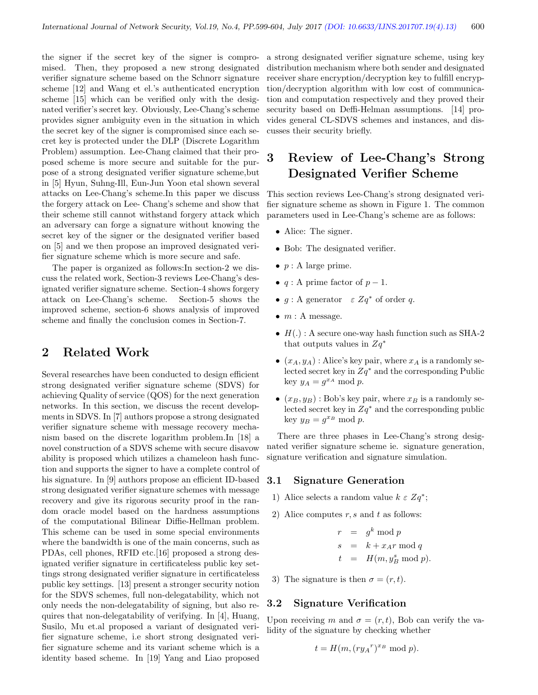the signer if the secret key of the signer is compromised. Then, they proposed a new strong designated verifier signature scheme based on the Schnorr signature scheme [12] and Wang et el.'s authenticated encryption scheme [15] which can be verified only with the designated verifier's secret key. Obviously, Lee-Chang's scheme provides signer ambiguity even in the situation in which the secret key of the signer is compromised since each secret key is protected under the DLP (Discrete Logarithm Problem) assumption. Lee-Chang claimed that their proposed scheme is more secure and suitable for the purpose of a strong designated verifier signature scheme,but in [5] Hyun, Suhng-Ill, Eun-Jun Yoon etal shown several attacks on Lee-Chang's scheme.In this paper we discuss the forgery attack on Lee- Chang's scheme and show that their scheme still cannot withstand forgery attack which an adversary can forge a signature without knowing the secret key of the signer or the designated verifier based on [5] and we then propose an improved designated verifier signature scheme which is more secure and safe.

The paper is organized as follows:In section-2 we discuss the related work, Section-3 reviews Lee-Chang's designated verifier signature scheme. Section-4 shows forgery attack on Lee-Chang's scheme. Section-5 shows the improved scheme, section-6 shows analysis of improved scheme and finally the conclusion comes in Section-7.

# 2 Related Work

Several researches have been conducted to design efficient strong designated verifier signature scheme (SDVS) for achieving Quality of service (QOS) for the next generation networks. In this section, we discuss the recent developments in SDVS. In [7] authors propose a strong designated verifier signature scheme with message recovery mechanism based on the discrete logarithm problem.In [18] a novel construction of a SDVS scheme with secure disavow ability is proposed which utilizes a chameleon hash function and supports the signer to have a complete control of his signature. In [9] authors propose an efficient ID-based strong designated verifier signature schemes with message recovery and give its rigorous security proof in the random oracle model based on the hardness assumptions of the computational Bilinear Diffie-Hellman problem. This scheme can be used in some special environments where the bandwidth is one of the main concerns, such as PDAs, cell phones, RFID etc.[16] proposed a strong designated verifier signature in certificateless public key settings strong designated verifier signature in certificateless public key settings. [13] present a stronger security notion for the SDVS schemes, full non-delegatability, which not only needs the non-delegatability of signing, but also requires that non-delegatability of verifying. In [4], Huang, Susilo, Mu et.al proposed a variant of designated verifier signature scheme, i.e short strong designated verifier signature scheme and its variant scheme which is a identity based scheme. In [19] Yang and Liao proposed

a strong designated verifier signature scheme, using key distribution mechanism where both sender and designated receiver share encryption/decryption key to fulfill encryption/decryption algorithm with low cost of communication and computation respectively and they proved their security based on Deffi-Helman assumptions. [14] provides general CL-SDVS schemes and instances, and discusses their security briefly.

# 3 Review of Lee-Chang's Strong Designated Verifier Scheme

This section reviews Lee-Chang's strong designated verifier signature scheme as shown in Figure 1. The common parameters used in Lee-Chang's scheme are as follows:

- Alice: The signer.
- Bob: The designated verifier.
- $p : A$  large prime.
- $q: A$  prime factor of  $p-1$ .
- $g : A$  generator  $\varepsilon Zq^*$  of order q.
- $m : A$  message.
- $H(.)$ : A secure one-way hash function such as SHA-2 that outputs values in  $Zq^*$
- $(x_A, y_A)$ : Alice's key pair, where  $x_A$  is a randomly selected secret key in  $Zq^*$  and the corresponding Public key  $y_A = g^{x_A} \bmod p$ .
- $(x_B, y_B)$ : Bob's key pair, where  $x_B$  is a randomly selected secret key in  $Zq^*$  and the corresponding public key  $y_B = g^{x_B} \mod p$ .

There are three phases in Lee-Chang's strong designated verifier signature scheme ie. signature generation, signature verification and signature simulation.

#### 3.1 Signature Generation

- 1) Alice selects a random value  $k \varepsilon Zq^*$ ;
- 2) Alice computes  $r, s$  and  $t$  as follows:

$$
r = gk \mod p
$$
  
\n
$$
s = k + x_A r \mod q
$$
  
\n
$$
t = H(m, y_B^s \mod p)
$$

3) The signature is then  $\sigma = (r, t)$ .

#### 3.2 Signature Verification

Upon receiving m and  $\sigma = (r, t)$ , Bob can verify the validity of the signature by checking whether

$$
t = H(m, (ry_Ar)x_B \mod p).
$$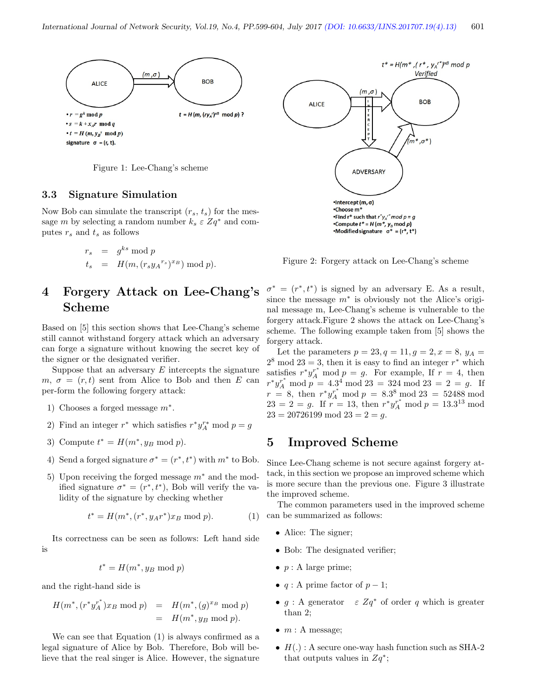

Figure 1: Lee-Chang's scheme

#### 3.3 Signature Simulation

Now Bob can simulate the transcript  $(r_s, t_s)$  for the message m by selecting a random number  $k_s \varepsilon Zq^*$  and computes  $r_s$  and  $t_s$  as follows

$$
r_s = g^{ks} \mod p
$$
  
\n
$$
t_s = H(m, (r_s y_A^{r_s})^{x_B}) \mod p).
$$

# 4 Forgery Attack on Lee-Chang's Scheme

Based on [5] this section shows that Lee-Chang's scheme still cannot withstand forgery attack which an adversary can forge a signature without knowing the secret key of the signer or the designated verifier.

Suppose that an adversary  $E$  intercepts the signature  $m, \sigma = (r, t)$  sent from Alice to Bob and then E can per-form the following forgery attack:

- 1) Chooses a forged message  $m^*$ .
- 2) Find an integer  $r^*$  which satisfies  $r^*y_A^{r*} \mod p = g$
- 3) Compute  $t^* = H(m^*, y_B \text{ mod } p)$ .
- 4) Send a forged signature  $\sigma^* = (r^*, t^*)$  with  $m^*$  to Bob.
- 5) Upon receiving the forged message  $m^*$  and the modified signature  $\sigma^* = (r^*, t^*)$ , Bob will verify the validity of the signature by checking whether

$$
t^* = H(m^*, (r^*, y_A r^*) x_B \bmod p). \tag{1}
$$

Its correctness can be seen as follows: Left hand side is

$$
t^* = H(m^*, y_B \bmod p)
$$

and the right-hand side is

$$
H(m^*, (r^*y_A^{r^*})x_B \bmod p) = H(m^*, (g)^{xB} \bmod p)
$$
  
=  $H(m^*, y_B \bmod p).$ 

We can see that Equation (1) is always confirmed as a legal signature of Alice by Bob. Therefore, Bob will believe that the real singer is Alice. However, the signature



Figure 2: Forgery attack on Lee-Chang's scheme

 $\sigma^* = (r^*, t^*)$  is signed by an adversary E. As a result, since the message  $m^*$  is obviously not the Alice's original message m, Lee-Chang's scheme is vulnerable to the forgery attack.Figure 2 shows the attack on Lee-Chang's scheme. The following example taken from [5] shows the forgery attack.

Let the parameters  $p = 23, q = 11, g = 2, x = 8, y_A =$  $2^8 \mod 23 = 3$ , then it is easy to find an integer  $r^*$  which satisfies  $r^*y_A^{r^*}$  mod  $p = g$ . For example, If  $r = 4$ , then  $r^*y_A^{r^*} \mod p = 4.3^4 \mod 23 = 324 \mod 23 = 2 = g.$  If  $r = 8$ , then  $r^*y_A^r \mod p = 8.3^8 \mod 23 = 52488 \mod 23$  $23 = 2 = g$ . If  $r = 13$ , then  $r^*y_A^{r^*} \mod p = 13.3^{13} \mod p$  $23 = 20726199 \text{ mod } 23 = 2 = g.$ 

### 5 Improved Scheme

Since Lee-Chang scheme is not secure against forgery attack, in this section we propose an improved scheme which is more secure than the previous one. Figure 3 illustrate the improved scheme.

The common parameters used in the improved scheme can be summarized as follows:

- Alice: The signer;
- Bob: The designated verifier;
- $p : A$  large prime;
- $q: A$  prime factor of  $p-1$ ;
- $g : A$  generator  $\varepsilon Zq^*$  of order q which is greater than 2;
- $m : A$  message;
- $H(.)$ : A secure one-way hash function such as SHA-2 that outputs values in  $Zq^*$ ;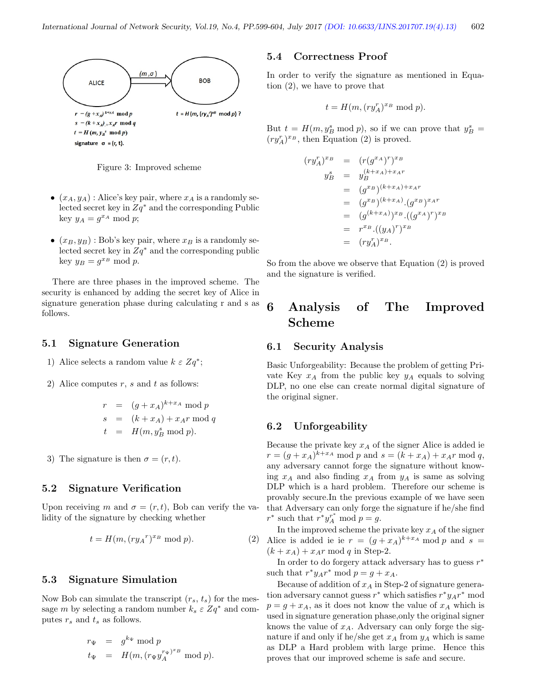

Figure 3: Improved scheme

- $(x_A, y_A)$ : Alice's key pair, where  $x_A$  is a randomly selected secret key in  $Zq^*$  and the corresponding Public key  $y_A = g^{x_A} \bmod p$ ;
- $(x_B, y_B)$ : Bob's key pair, where  $x_B$  is a randomly selected secret key in  $Zq^*$  and the corresponding public key  $y_B = g^{x_B} \mod p$ .

There are three phases in the improved scheme. The security is enhanced by adding the secret key of Alice in signature generation phase during calculating r and s as follows.

#### 5.1 Signature Generation

- 1) Alice selects a random value  $k \varepsilon Zq^*$ ;
- 2) Alice computes  $r$ ,  $s$  and  $t$  as follows:

$$
r = (g + x_A)^{k+x_A} \mod p
$$
  
\n
$$
s = (k + x_A) + x_A r \mod q
$$
  
\n
$$
t = H(m, y_B^s \mod p).
$$

3) The signature is then  $\sigma = (r, t)$ .

#### 5.2 Signature Verification

Upon receiving m and  $\sigma = (r, t)$ , Bob can verify the validity of the signature by checking whether

$$
t = H(m, (ry_Ar)x_B \text{ mod } p).
$$
 (2)

#### 5.3 Signature Simulation

Now Bob can simulate the transcript  $(r_s, t_s)$  for the message m by selecting a random number  $k_s \varepsilon Zq^*$  and computes  $r_s$  and  $t_s$  as follows.

$$
r_{\Psi} = g^{k_{\Psi}} \mod p
$$
  

$$
t_{\Psi} = H(m, (r_{\Psi} y_A^{r_{\Psi}})^{x_B} \mod p).
$$

#### 5.4 Correctness Proof

In order to verify the signature as mentioned in Equation (2), we have to prove that

$$
t = H(m, (ry_A^r)^{x_B} \text{ mod } p).
$$

But  $t = H(m, y_B^s \text{ mod } p)$ , so if we can prove that  $y_B^s =$  $(ry_A^r)^{x_B}$ , then Equation (2) is proved.

$$
(r y_A^r)^{x_B} = (r (g^{x_A})^r)^{x_B}
$$
  
\n
$$
y_B^s = y_B^{(k+x_A)+x_A r}
$$
  
\n
$$
= (g^{x_B})^{(k+x_A)+x_A r}
$$
  
\n
$$
= (g^{x_B})^{(k+x_A)} (g^{x_B})^{x_A r}
$$
  
\n
$$
= (g^{(k+x_A)})^{x_B} ((g^{x_A})^r)^{x_B}
$$
  
\n
$$
= r^{x_B} \cdot ((y_A)^r)^{x_B}
$$
  
\n
$$
= (ry_A^r)^{x_B}.
$$

So from the above we observe that Equation (2) is proved and the signature is verified.

# 6 Analysis of The Improved Scheme

#### 6.1 Security Analysis

Basic Unforgeability: Because the problem of getting Private Key  $x_A$  from the public key  $y_A$  equals to solving DLP, no one else can create normal digital signature of the original signer.

#### 6.2 Unforgeability

Because the private key  $x_A$  of the signer Alice is added ie  $r = (g + x_A)^{k+x_A} \mod p$  and  $s = (k + x_A) + x_A r \mod q$ , any adversary cannot forge the signature without knowing  $x_A$  and also finding  $x_A$  from  $y_A$  is same as solving DLP which is a hard problem. Therefore our scheme is provably secure.In the previous example of we have seen that Adversary can only forge the signature if he/she find  $r^*$  such that  $r^*y_A^{r^*}$  mod  $p = g$ .

In the improved scheme the private key  $x_A$  of the signer Alice is added ie ie  $r = (g + x_A)^{k+x_A} \mod p$  and  $s =$  $(k + x_A) + x_A r \mod q$  in Step-2.

In order to do forgery attack adversary has to guess  $r^*$ such that  $r^*y_Ar^* \mod p = g + x_A$ .

Because of addition of  $x_A$  in Step-2 of signature generation adversary cannot guess  $r^*$  which satisfies  $r^*y_Ar^*$  mod  $p = g + x_A$ , as it does not know the value of  $x_A$  which is used in signature generation phase,only the original signer knows the value of  $x_A$ . Adversary can only forge the signature if and only if he/she get  $x_A$  from  $y_A$  which is same as DLP a Hard problem with large prime. Hence this proves that our improved scheme is safe and secure.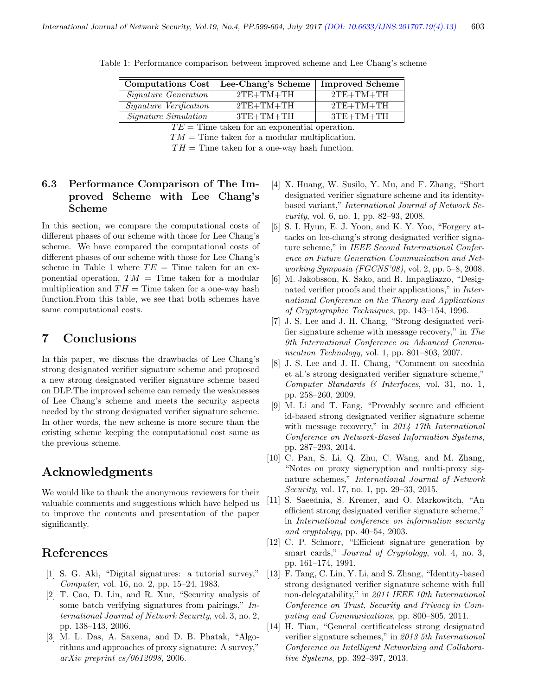| <b>Computations Cost</b>    | Lee-Chang's Scheme | <b>Improved Scheme</b> |
|-----------------------------|--------------------|------------------------|
| <i>Signature Generation</i> | $2TE+TM+TH$        | $2TE+TM+TH$            |
| Signature Verification      | $2TE+TM+TH$        | $2TE+TM+TH$            |
| <i>Signature Simulation</i> | $3TE+TM+TH$        | $3TE+TM+TH$            |

Table 1: Performance comparison between improved scheme and Lee Chang's scheme

 $TE = Time$  taken for an exponential operation.

 $TM =$ Time taken for a modular multiplication.

 $TH =$ Time taken for a one-way hash function.

### 6.3 Performance Comparison of The Improved Scheme with Lee Chang's Scheme

In this section, we compare the computational costs of different phases of our scheme with those for Lee Chang's scheme. We have compared the computational costs of different phases of our scheme with those for Lee Chang's scheme in Table 1 where  $TE =$  Time taken for an exponential operation,  $TM =$ Time taken for a modular multiplication and  $TH =$  Time taken for a one-way hash function.From this table, we see that both schemes have same computational costs.

### 7 Conclusions

In this paper, we discuss the drawbacks of Lee Chang's strong designated verifier signature scheme and proposed a new strong designated verifier signature scheme based on DLP.The improved scheme can remedy the weaknesses of Lee Chang's scheme and meets the security aspects needed by the strong designated verifier signature scheme. In other words, the new scheme is more secure than the existing scheme keeping the computational cost same as the previous scheme.

# Acknowledgments

We would like to thank the anonymous reviewers for their valuable comments and suggestions which have helped us to improve the contents and presentation of the paper significantly.

### References

- [1] S. G. Aki, "Digital signatures: a tutorial survey," Computer, vol. 16, no. 2, pp. 15–24, 1983.
- [2] T. Cao, D. Lin, and R. Xue, "Security analysis of some batch verifying signatures from pairings," International Journal of Network Security, vol. 3, no. 2, pp. 138–143, 2006.
- [3] M. L. Das, A. Saxena, and D. B. Phatak, "Algorithms and approaches of proxy signature: A survey," arXiv preprint cs/0612098, 2006.
- [4] X. Huang, W. Susilo, Y. Mu, and F. Zhang, "Short designated verifier signature scheme and its identitybased variant," International Journal of Network Security, vol. 6, no. 1, pp. 82–93, 2008.
- [5] S. I. Hyun, E. J. Yoon, and K. Y. Yoo, "Forgery attacks on lee-chang's strong designated verifier signature scheme," in IEEE Second International Conference on Future Generation Communication and Networking Symposia (FGCNS'08), vol. 2, pp. 5–8, 2008.
- [6] M. Jakobsson, K. Sako, and R. Impagliazzo, "Designated verifier proofs and their applications," in International Conference on the Theory and Applications of Cryptographic Techniques, pp. 143–154, 1996.
- [7] J. S. Lee and J. H. Chang, "Strong designated verifier signature scheme with message recovery," in The 9th International Conference on Advanced Communication Technology, vol. 1, pp. 801–803, 2007.
- [8] J. S. Lee and J. H. Chang, "Comment on saeednia et al.'s strong designated verifier signature scheme," Computer Standards & Interfaces, vol. 31, no. 1, pp. 258–260, 2009.
- [9] M. Li and T. Fang, "Provably secure and efficient id-based strong designated verifier signature scheme with message recovery," in 2014 17th International Conference on Network-Based Information Systems, pp. 287–293, 2014.
- [10] C. Pan, S. Li, Q. Zhu, C. Wang, and M. Zhang, "Notes on proxy signcryption and multi-proxy signature schemes," International Journal of Network Security, vol. 17, no. 1, pp. 29–33, 2015.
- [11] S. Saeednia, S. Kremer, and O. Markowitch, "An efficient strong designated verifier signature scheme," in International conference on information security and cryptology, pp. 40–54, 2003.
- [12] C. P. Schnorr, "Efficient signature generation by smart cards," *Journal of Cryptology*, vol. 4, no. 3, pp. 161–174, 1991.
- [13] F. Tang, C. Lin, Y. Li, and S. Zhang, "Identity-based strong designated verifier signature scheme with full non-delegatability," in 2011 IEEE 10th International Conference on Trust, Security and Privacy in Computing and Communications, pp. 800–805, 2011.
- [14] H. Tian, "General certificateless strong designated verifier signature schemes," in 2013 5th International Conference on Intelligent Networking and Collaborative Systems, pp. 392–397, 2013.